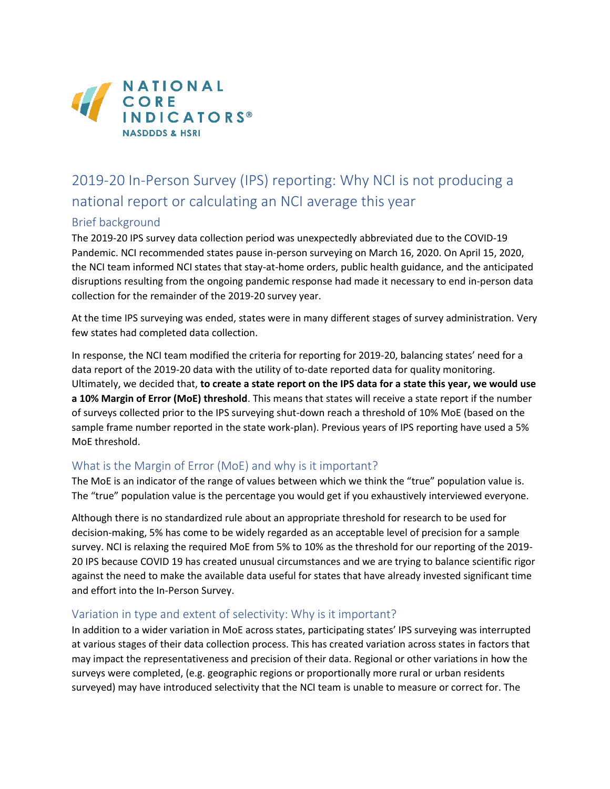

# 2019-20 In-Person Survey (IPS) reporting: Why NCI is not producing a national report or calculating an NCI average this year

### Brief background

The 2019-20 IPS survey data collection period was unexpectedly abbreviated due to the COVID-19 Pandemic. NCI recommended states pause in-person surveying on March 16, 2020. On April 15, 2020, the NCI team informed NCI states that stay-at-home orders, public health guidance, and the anticipated disruptions resulting from the ongoing pandemic response had made it necessary to end in-person data collection for the remainder of the 2019-20 survey year.

At the time IPS surveying was ended, states were in many different stages of survey administration. Very few states had completed data collection.

In response, the NCI team modified the criteria for reporting for 2019-20, balancing states' need for a data report of the 2019-20 data with the utility of to-date reported data for quality monitoring. Ultimately, we decided that, **to create a state report on the IPS data for a state this year, we would use a 10% Margin of Error (MoE) threshold**. This means that states will receive a state report if the number of surveys collected prior to the IPS surveying shut-down reach a threshold of 10% MoE (based on the sample frame number reported in the state work-plan). Previous years of IPS reporting have used a 5% MoE threshold.

### What is the Margin of Error (MoE) and why is it important?

The MoE is an indicator of the range of values between which we think the "true" population value is. The "true" population value is the percentage you would get if you exhaustively interviewed everyone.

Although there is no standardized rule about an appropriate threshold for research to be used for decision-making, 5% has come to be widely regarded as an acceptable level of precision for a sample survey. NCI is relaxing the required MoE from 5% to 10% as the threshold for our reporting of the 2019- 20 IPS because COVID 19 has created unusual circumstances and we are trying to balance scientific rigor against the need to make the available data useful for states that have already invested significant time and effort into the In-Person Survey.

### Variation in type and extent of selectivity: Why is it important?

In addition to a wider variation in MoE across states, participating states' IPS surveying was interrupted at various stages of their data collection process. This has created variation across states in factors that may impact the representativeness and precision of their data. Regional or other variations in how the surveys were completed, (e.g. geographic regions or proportionally more rural or urban residents surveyed) may have introduced selectivity that the NCI team is unable to measure or correct for. The